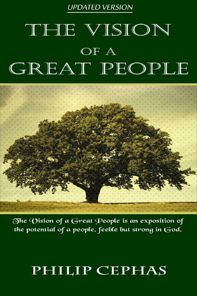**UPDATED VERSION** 

## THE VISION OF A GREAT PEOPLE



The Vision of a Great People is an exposition of the potential of a people, feeble but strong in God.

## PHILIP CEPHAS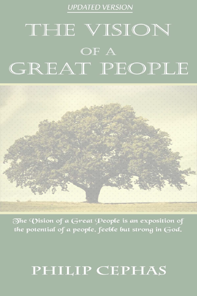#### **UPDATED VERSION**

## THE VISION OF A GREAT PEOPLE



The Vision of a Great People is an exposition of the potential of a people, feeble but strong in  $God.$ 

## PHILIP CEPHAS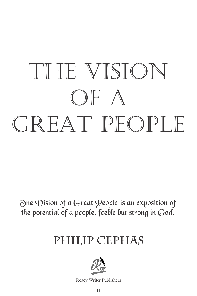# THE VISION OF A GREAT PEOPLE

The Vision of a Great People is an exposition of the potential of a people, feeble but strong in God.

## **PHILIP CEPHAS**



Ready Writer Publishers

ii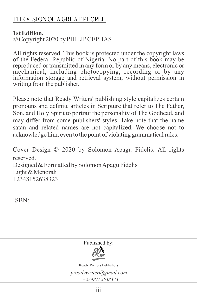#### THE VISION OF A GREAT PEOPLE

#### **1st Edition,**

© Copyright 2020 by PHILIPCEPHAS

All rights reserved. This book is protected under the copyright laws of the Federal Republic of Nigeria. No part of this book may be reproduced or transmitted in any form or by any means, electronic or mechanical, including photocopying, recording or by any information storage and retrieval system, without permission in writing from the publisher.

Please note that Ready Writers' publishing style capitalizes certain pronouns and definite articles in Scripture that refer to The Father, Son, and Holy Spirit to portrait the personality of The Godhead, and may differ from some publishers' styles. Take note that the name satan and related names are not capitalized. We choose not to acknowledge him, even to the point of violating grammatical rules.

Cover Design © 2020 by Solomon Apagu Fidelis. All rights reserved. Designed & Formatted by Solomon Apagu Fidelis Light & Menorah +2348152638323

ISBN:

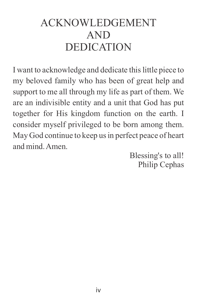### ACKNOWLEDGEMENT AND DEDICATION

I want to acknowledge and dedicate this little piece to my beloved family who has been of great help and support to me all through my life as part of them. We are an indivisible entity and a unit that God has put together for His kingdom function on the earth. I consider myself privileged to be born among them. May God continue to keep us in perfect peace of heart and mind. Amen.

Blessing's to all! Philip Cephas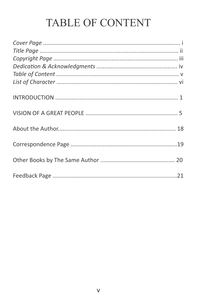### TABLE OF CONTENT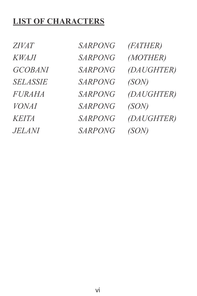### **LIST OF CHARACTERS**

*ZIVAT SARPONG (FATHER) SELASSIE SARPONG (SON) VONAI SARPONG (SON) JELANI SARPONG (SON)* 

*KWAJI SARPONG (MOTHER) GCOBANI SARPONG (DAUGHTER) FURAHA SARPONG (DAUGHTER) KEITA SARPONG (DAUGHTER)*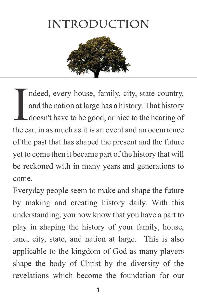## **INTRODUCTION**



ndeed, every house, family, city, state country,<br>and the nation at large has a history. That history<br>doesn't have to be good, or nice to the hearing of<br>the ear in as much as it is an event and an occurrence and the nation at large has a history. That history doesn't have to be good, or nice to the hearing of the ear, in as much as it is an event and an occurrence of the past that has shaped the present and the future yet to come then it became part of the history that will be reckoned with in many years and generations to come.

Everyday people seem to make and shape the future by making and creating history daily. With this understanding, you now know that you have a part to play in shaping the history of your family, house, land, city, state, and nation at large. This is also applicable to the kingdom of God as many players shape the body of Christ by the diversity of the revelations which become the foundation for our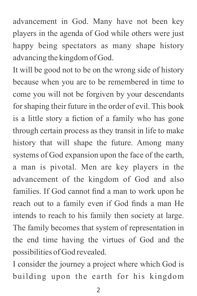advancement in God. Many have not been key players in the agenda of God while others were just happy being spectators as many shape history advancing the kingdom of God.

It will be good not to be on the wrong side of history because when you are to be remembered in time to come you will not be forgiven by your descendants for shaping their future in the order of evil. This book is a little story a fiction of a family who has gone through certain process as they transit in life to make history that will shape the future. Among many systems of God expansion upon the face of the earth, a man is pivotal. Men are key players in the advancement of the kingdom of God and also families. If God cannot find a man to work upon he reach out to a family even if God finds a man He intends to reach to his family then society at large. The family becomes that system of representation in the end time having the virtues of God and the possibilities of God revealed.

I consider the journey a project where which God is building upon the earth for his kingdom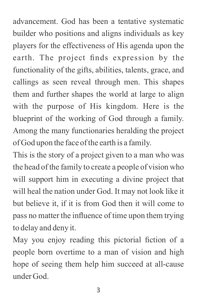advancement. God has been a tentative systematic builder who positions and aligns individuals as key players for the effectiveness of His agenda upon the earth. The project finds expression by the functionality of the gifts, abilities, talents, grace, and callings as seen reveal through men. This shapes them and further shapes the world at large to align with the purpose of His kingdom. Here is the blueprint of the working of God through a family. Among the many functionaries heralding the project of God upon the face of the earth is a family.

This is the story of a project given to a man who was the head of the family to create a people of vision who will support him in executing a divine project that will heal the nation under God. It may not look like it but believe it, if it is from God then it will come to pass no matter the influence of time upon them trying to delay and deny it.

May you enjoy reading this pictorial fiction of a people born overtime to a man of vision and high hope of seeing them help him succeed at all-cause under God.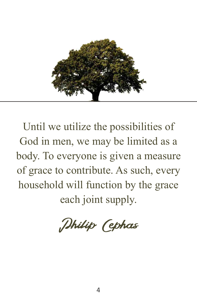

Until we utilize the possibilities of God in men, we may be limited as a body. To everyone is given a measure of grace to contribute. As such, every household will function by the grace each joint supply.

Philip Cephas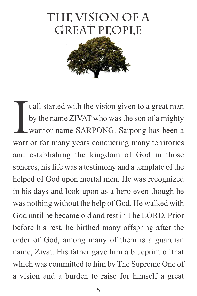## **the vision of a GREAT PEOPLE**



It all started with the vision given to a great man<br>by the name ZIVAT who was the son of a mighty<br>warrior name SARPONG. Sarpong has been a<br>warrior for many years conquering many territories by the name ZIVAT who was the son of a mighty warrior name SARPONG. Sarpong has been a warrior for many years conquering many territories and establishing the kingdom of God in those spheres, his life was a testimony and a template of the helped of God upon mortal men. He was recognized in his days and look upon as a hero even though he was nothing without the help of God. He walked with God until he became old and rest in The LORD. Prior before his rest, he birthed many offspring after the order of God, among many of them is a guardian name, Zivat. His father gave him a blueprint of that which was committed to him by The Supreme One of a vision and a burden to raise for himself a great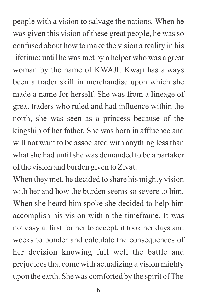people with a vision to salvage the nations. When he was given this vision of these great people, he was so confused about how to make the vision a reality in his lifetime; until he was met by a helper who was a great woman by the name of KWAJI. Kwaji has always been a trader skill in merchandise upon which she made a name for herself. She was from a lineage of great traders who ruled and had influence within the north, she was seen as a princess because of the kingship of her father. She was born in affluence and will not want to be associated with anything less than what she had until she was demanded to be a partaker of the vision and burden given to Zivat.

When they met, he decided to share his mighty vision with her and how the burden seems so severe to him. When she heard him spoke she decided to help him accomplish his vision within the timeframe. It was not easy at first for her to accept, it took her days and weeks to ponder and calculate the consequences of her decision knowing full well the battle and prejudices that come with actualizing a vision mighty upon the earth. She was comforted by the spirit of The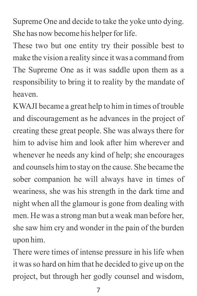Supreme One and decide to take the yoke unto dying. She has now become his helper for life.

These two but one entity try their possible best to make the vision a reality since it was a command from The Supreme One as it was saddle upon them as a responsibility to bring it to reality by the mandate of heaven.

KWAJI became a great help to him in times of trouble and discouragement as he advances in the project of creating these great people. She was always there for him to advise him and look after him wherever and whenever he needs any kind of help; she encourages and counsels him to stay on the cause. She became the sober companion he will always have in times of weariness, she was his strength in the dark time and night when all the glamour is gone from dealing with men. He was a strong man but a weak man before her, she saw him cry and wonder in the pain of the burden upon him.

There were times of intense pressure in his life when it was so hard on him that he decided to give up on the project, but through her godly counsel and wisdom,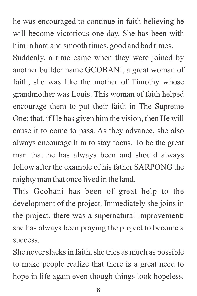he was encouraged to continue in faith believing he will become victorious one day. She has been with him in hard and smooth times, good and bad times.

Suddenly, a time came when they were joined by another builder name GCOBANI, a great woman of faith, she was like the mother of Timothy whose grandmother was Louis. This woman of faith helped encourage them to put their faith in The Supreme One; that, if He has given him the vision, then He will cause it to come to pass. As they advance, she also always encourage him to stay focus. To be the great man that he has always been and should always follow after the example of his father SARPONG the mighty man that once lived in the land.

This Gcobani has been of great help to the development of the project. Immediately she joins in the project, there was a supernatural improvement; she has always been praying the project to become a success.

She never slacks in faith, she tries as much as possible to make people realize that there is a great need to hope in life again even though things look hopeless.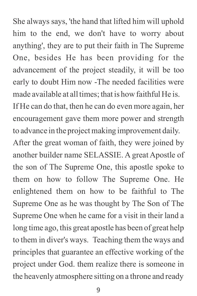She always says, 'the hand that lifted him will uphold him to the end, we don't have to worry about anything', they are to put their faith in The Supreme One, besides He has been providing for the advancement of the project steadily, it will be too early to doubt Him now -The needed facilities were made available at all times; that is how faithful He is. If He can do that, then he can do even more again, her encouragement gave them more power and strength to advance in the project making improvement daily. After the great woman of faith, they were joined by another builder name SELASSIE. A great Apostle of the son of The Supreme One, this apostle spoke to them on how to follow The Supreme One. He enlightened them on how to be faithful to The Supreme One as he was thought by The Son of The Supreme One when he came for a visit in their land a long time ago, this great apostle has been of great help to them in diver's ways. Teaching them the ways and principles that guarantee an effective working of the project under God. them realize there is someone in the heavenly atmosphere sitting on a throne and ready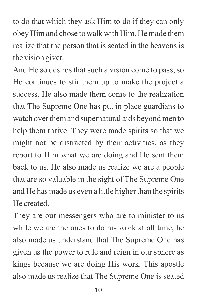to do that which they ask Him to do if they can only obey Him and chose to walk with Him. He made them realize that the person that is seated in the heavens is the vision giver.

And He so desires that such a vision come to pass, so He continues to stir them up to make the project a success. He also made them come to the realization that The Supreme One has put in place guardians to watch over them and supernatural aids beyond men to help them thrive. They were made spirits so that we might not be distracted by their activities, as they report to Him what we are doing and He sent them back to us. He also made us realize we are a people that are so valuable in the sight of The Supreme One and He has made us even a little higher than the spirits He created.

They are our messengers who are to minister to us while we are the ones to do his work at all time, he also made us understand that The Supreme One has given us the power to rule and reign in our sphere as kings because we are doing His work. This apostle also made us realize that The Supreme One is seated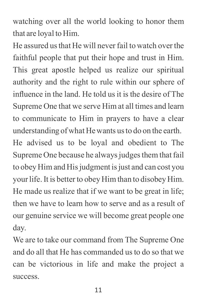watching over all the world looking to honor them that are loyal to Him.

He assured us that He will never fail to watch over the faithful people that put their hope and trust in Him. This great apostle helped us realize our spiritual authority and the right to rule within our sphere of influence in the land. He told us it is the desire of The Supreme One that we serve Him at all times and learn to communicate to Him in prayers to have a clear understanding of what He wants us to do on the earth. He advised us to be loyal and obedient to The Supreme One because he always judges them that fail to obey Him and His judgment is just and can cost you your life. It is better to obey Him than to disobey Him. He made us realize that if we want to be great in life; then we have to learn how to serve and as a result of

our genuine service we will become great people one day.

We are to take our command from The Supreme One and do all that He has commanded us to do so that we can be victorious in life and make the project a success.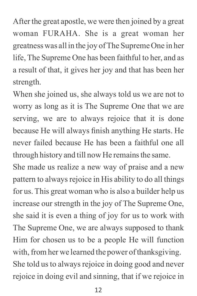After the great apostle, we were then joined by a great woman FURAHA. She is a great woman her greatness was all in the joy of The Supreme One in her life, The Supreme One has been faithful to her, and as a result of that, it gives her joy and that has been her strength.

When she joined us, she always told us we are not to worry as long as it is The Supreme One that we are serving, we are to always rejoice that it is done because He will always finish anything He starts. He never failed because He has been a faithful one all through history and till now He remains the same.

She made us realize a new way of praise and a new pattern to always rejoice in His ability to do all things for us. This great woman who is also a builder help us increase our strength in the joy of The Supreme One, she said it is even a thing of joy for us to work with The Supreme One, we are always supposed to thank Him for chosen us to be a people He will function with, from her we learned the power of thanksgiving. She told us to always rejoice in doing good and never rejoice in doing evil and sinning, that if we rejoice in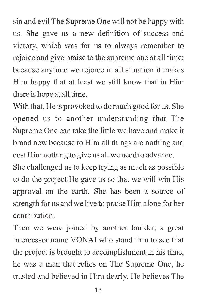sin and evil The Supreme One will not be happy with us. She gave us a new definition of success and victory, which was for us to always remember to rejoice and give praise to the supreme one at all time; because anytime we rejoice in all situation it makes Him happy that at least we still know that in Him there is hope at all time.

With that, He is provoked to do much good for us. She opened us to another understanding that The Supreme One can take the little we have and make it brand new because to Him all things are nothing and cost Him nothing to give us all we need to advance.

She challenged us to keep trying as much as possible to do the project He gave us so that we will win His approval on the earth. She has been a source of strength for us and we live to praise Him alone for her contribution.

Then we were joined by another builder, a great intercessor name VONAI who stand firm to see that the project is brought to accomplishment in his time, he was a man that relies on The Supreme One, he trusted and believed in Him dearly. He believes The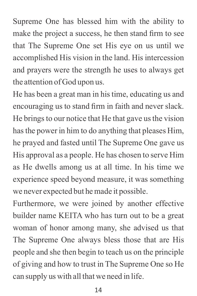Supreme One has blessed him with the ability to make the project a success, he then stand firm to see that The Supreme One set His eye on us until we accomplished His vision in the land. His intercession and prayers were the strength he uses to always get the attention of God upon us.

He has been a great man in his time, educating us and encouraging us to stand firm in faith and never slack. He brings to our notice that He that gave us the vision has the power in him to do anything that pleases Him, he prayed and fasted until The Supreme One gave us His approval as a people. He has chosen to serve Him as He dwells among us at all time. In his time we experience speed beyond measure, it was something we never expected but he made it possible.

Furthermore, we were joined by another effective builder name KEITA who has turn out to be a great woman of honor among many, she advised us that The Supreme One always bless those that are His people and she then begin to teach us on the principle of giving and how to trust in The Supreme One so He can supply us with all that we need in life.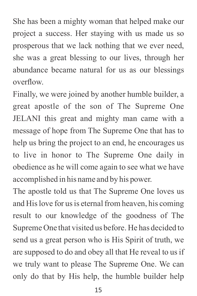She has been a mighty woman that helped make our project a success. Her staying with us made us so prosperous that we lack nothing that we ever need, she was a great blessing to our lives, through her abundance became natural for us as our blessings overflow.

Finally, we were joined by another humble builder, a great apostle of the son of The Supreme One JELANI this great and mighty man came with a message of hope from The Supreme One that has to help us bring the project to an end, he encourages us to live in honor to The Supreme One daily in obedience as he will come again to see what we have accomplished in his name and by his power.

The apostle told us that The Supreme One loves us and His love for us is eternal from heaven, his coming result to our knowledge of the goodness of The Supreme One that visited us before. He has decided to send us a great person who is His Spirit of truth, we are supposed to do and obey all that He reveal to us if we truly want to please The Supreme One. We can only do that by His help, the humble builder help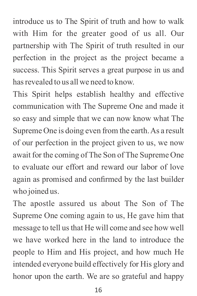introduce us to The Spirit of truth and how to walk with Him for the greater good of us all. Our partnership with The Spirit of truth resulted in our perfection in the project as the project became a success. This Spirit serves a great purpose in us and has revealed to us all we need to know.

This Spirit helps establish healthy and effective communication with The Supreme One and made it so easy and simple that we can now know what The Supreme One is doing even from the earth. As a result of our perfection in the project given to us, we now await for the coming of The Son of The Supreme One to evaluate our effort and reward our labor of love again as promised and confirmed by the last builder who joined us.

The apostle assured us about The Son of The Supreme One coming again to us, He gave him that message to tell us that He will come and see how well we have worked here in the land to introduce the people to Him and His project, and how much He intended everyone build effectively for His glory and honor upon the earth. We are so grateful and happy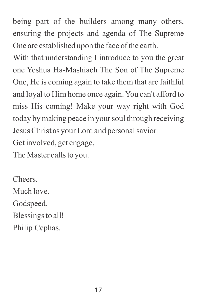being part of the builders among many others, ensuring the projects and agenda of The Supreme One are established upon the face of the earth.

With that understanding I introduce to you the great one Yeshua Ha-Mashiach The Son of The Supreme One, He is coming again to take them that are faithful and loyal to Him home once again. You can't afford to miss His coming! Make your way right with God today by making peace in your soul through receiving Jesus Christ as your Lord and personal savior.

Get involved, get engage,

The Master calls to you.

Cheers. Much love. Godspeed. Blessings to all! Philip Cephas.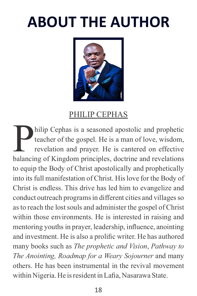## **ABOUT THE AUTHOR**



### PHILIP CEPHAS

hilip Cephas is a seasoned apostolic and prophetic teacher of the gospel. He is a man of love, wisdom, revelation and prayer. He is cantered on effective balancing of Kingdom principles, doctrine and revelations to equip the Body of Christ apostolically and prophetically into its full manifestation of Christ. His love for the Body of Christ is endless. This drive has led him to evangelize and conduct outreach programs in different cities and villages so as to reach the lost souls and administer the gospel of Christ within those environments. He is interested in raising and mentoring youths in prayer, leadership, influence, anointing and investment. He is also a prolific writer. He has authored many books such as *The prophetic and Vision*, *Pathway to The Anointing, Roadmap for a Weary Sojourner* and many others. He has been instrumental in the revival movement within Nigeria. He is resident in Lafia, Nasarawa State.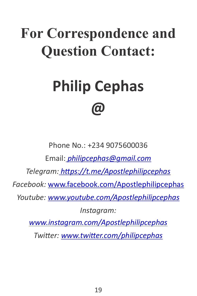## **For Correspondence and Question Contact:**

## **Philip Cephas @**

Phone No.: +234 9075600036 Email:*[philipcephas@gmail.com](mailto:Philipcephas@gmail.com) Telegram: hps://t.me/Apostlephilipcephas Facebook:* www.facebook.com/Apostlephilipcephas *Youtube: www.youtube.com/Apostlephilipcephas Instagram: www.instagram.com/Apostlephilipcephas Twitter: www.twitter.com/philipcephas*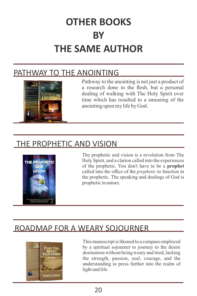## **OTHER BOOKS BY THE SAME AUTHOR**

### PATHWAY TO THE ANOINTING



Pathway to the anointing is not just a product of a research done in the flesh, but a personal dealing of walking with The Holy Spirit over time which has resulted to a smearing of the anointing upon my life by God.

### THE PROPHETIC AND VISION



The prophetic and vision is a revelation from The Holy Spirit, and a clarion called into the experiences of the prophetic. You don't have to be a **prophet**  called into the office of the *prophetic* to function in the prophetic. The speaking and dealings of God is prophetic in nature.

### ROADMAP FOR A WEARY SOJOURNER



This manuscript is likened to a compass employed by a spiritual sojourner to journey to the desire destination without being weary and tired, lacking the strength, passion, zeal, courage, and the understanding to press further into the realm of light and life.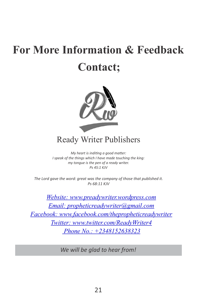## **For More Information & Feedback Contact;**



### Ready Writer Publishers

 *Ps 45:1 KJV My heart is inditing a good matter: I speak of the things which I have made touching the king: my tongue is the pen of a ready writer.*

*The Lord gave the word: great was the company of those that published it. Ps 68:11 KJV*

*Website: www.preadywriter.wordpress.com Email: propheticreadywriter@gmail.com Facebook: www.facebook.com/thepropheticreadywriter Twitter: www.twitter.com/ReadyWriter4 Phone No.: +2348152638323*

*We will be glad to hear from!*